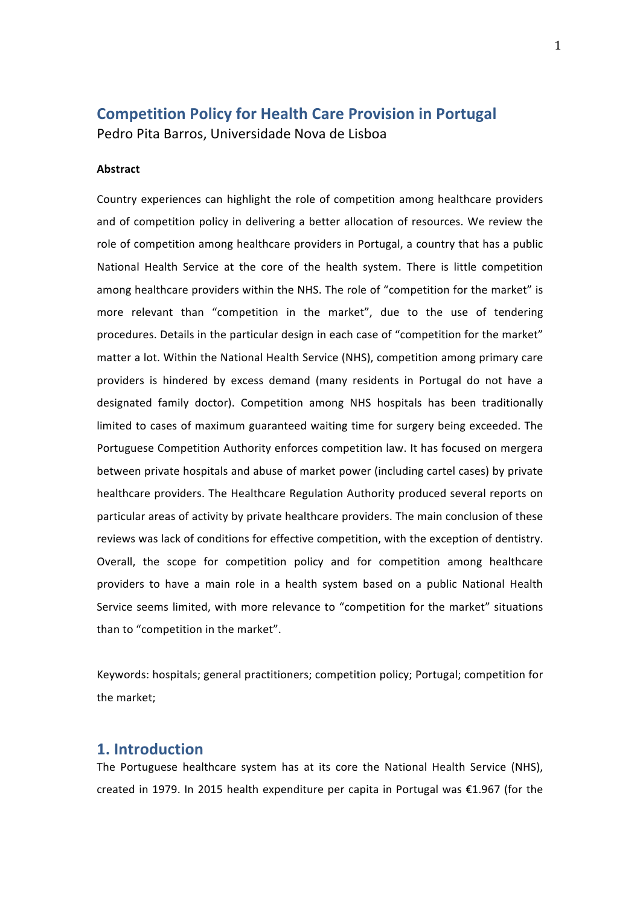# **Competition Policy for Health Care Provision in Portugal**

Pedro Pita Barros, Universidade Nova de Lisboa

#### **Abstract**

Country experiences can highlight the role of competition among healthcare providers and of competition policy in delivering a better allocation of resources. We review the role of competition among healthcare providers in Portugal, a country that has a public National Health Service at the core of the health system. There is little competition among healthcare providers within the NHS. The role of "competition for the market" is more relevant than "competition in the market", due to the use of tendering procedures. Details in the particular design in each case of "competition for the market" matter a lot. Within the National Health Service (NHS), competition among primary care providers is hindered by excess demand (many residents in Portugal do not have a designated family doctor). Competition among NHS hospitals has been traditionally limited to cases of maximum guaranteed waiting time for surgery being exceeded. The Portuguese Competition Authority enforces competition law. It has focused on mergera between private hospitals and abuse of market power (including cartel cases) by private healthcare providers. The Healthcare Regulation Authority produced several reports on particular areas of activity by private healthcare providers. The main conclusion of these reviews was lack of conditions for effective competition, with the exception of dentistry. Overall, the scope for competition policy and for competition among healthcare providers to have a main role in a health system based on a public National Health Service seems limited, with more relevance to "competition for the market" situations than to "competition in the market".

Keywords: hospitals; general practitioners; competition policy; Portugal; competition for the market:

## 1. Introduction

The Portuguese healthcare system has at its core the National Health Service (NHS), created in 1979. In 2015 health expenditure per capita in Portugal was  $\epsilon$ 1.967 (for the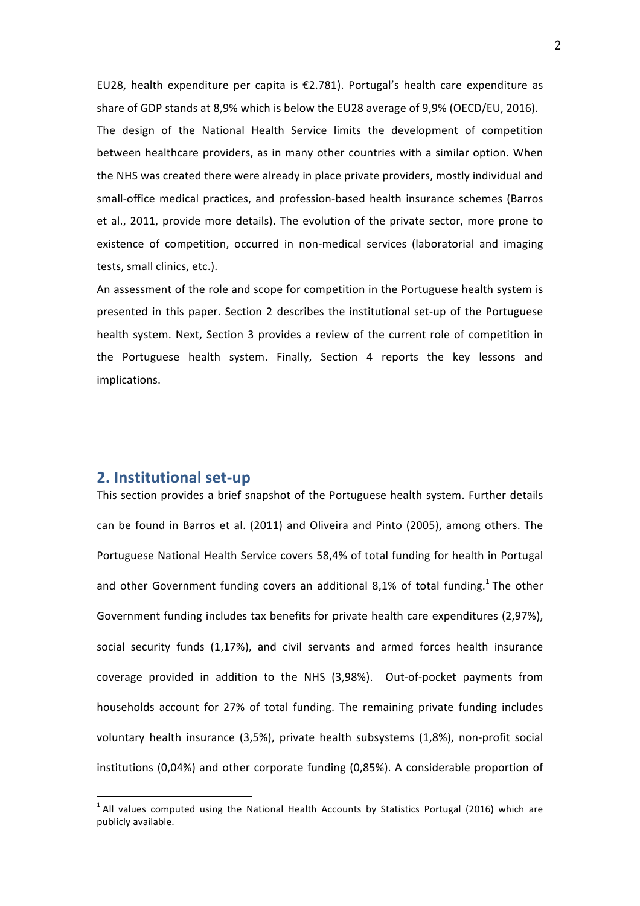EU28, health expenditure per capita is  $\epsilon$ 2.781). Portugal's health care expenditure as share of GDP stands at 8,9% which is below the EU28 average of 9,9% (OECD/EU, 2016). The design of the National Health Service limits the development of competition between healthcare providers, as in many other countries with a similar option. When the NHS was created there were already in place private providers, mostly individual and small-office medical practices, and profession-based health insurance schemes (Barros et al., 2011, provide more details). The evolution of the private sector, more prone to existence of competition, occurred in non-medical services (laboratorial and imaging tests, small clinics, etc.).

An assessment of the role and scope for competition in the Portuguese health system is presented in this paper. Section 2 describes the institutional set-up of the Portuguese health system. Next, Section 3 provides a review of the current role of competition in the Portuguese health system. Finally, Section 4 reports the key lessons and implications.

## **2. Institutional set-up**

This section provides a brief snapshot of the Portuguese health system. Further details can be found in Barros et al. (2011) and Oliveira and Pinto (2005), among others. The Portuguese National Health Service covers 58,4% of total funding for health in Portugal and other Government funding covers an additional 8.1% of total funding.<sup>1</sup> The other Government funding includes tax benefits for private health care expenditures (2,97%), social security funds (1,17%), and civil servants and armed forces health insurance coverage provided in addition to the NHS (3,98%). Out-of-pocket payments from households account for 27% of total funding. The remaining private funding includes voluntary health insurance (3,5%), private health subsystems (1,8%), non-profit social institutions  $(0,04%)$  and other corporate funding  $(0,85%)$ . A considerable proportion of

 $1$  All values computed using the National Health Accounts by Statistics Portugal (2016) which are publicly available.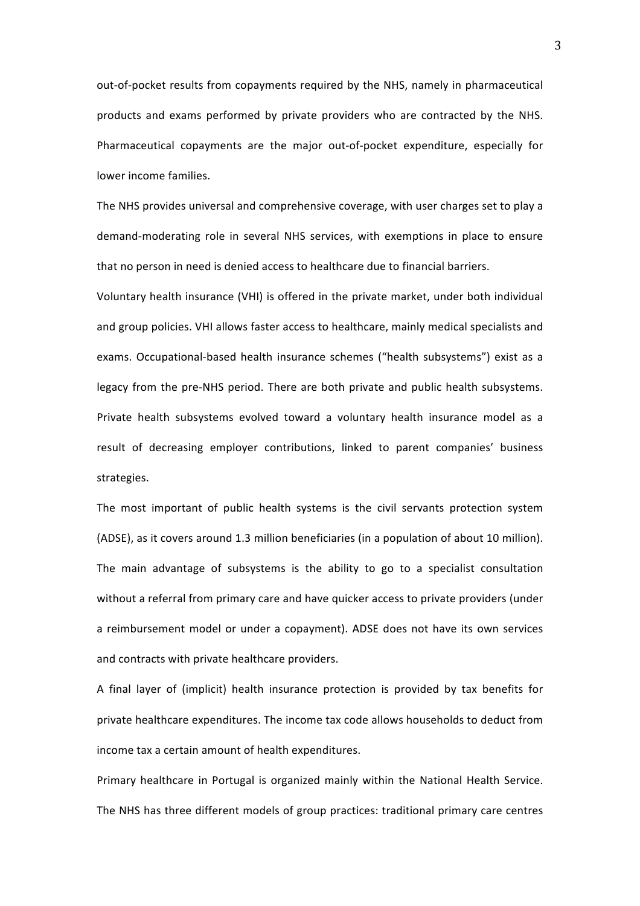out-of-pocket results from copayments required by the NHS, namely in pharmaceutical products and exams performed by private providers who are contracted by the NHS. Pharmaceutical copayments are the major out-of-pocket expenditure, especially for lower income families.

The NHS provides universal and comprehensive coverage, with user charges set to play a demand-moderating role in several NHS services, with exemptions in place to ensure that no person in need is denied access to healthcare due to financial barriers.

Voluntary health insurance (VHI) is offered in the private market, under both individual and group policies. VHI allows faster access to healthcare, mainly medical specialists and exams. Occupational-based health insurance schemes ("health subsystems") exist as a legacy from the pre-NHS period. There are both private and public health subsystems. Private health subsystems evolved toward a voluntary health insurance model as a result of decreasing employer contributions, linked to parent companies' business strategies. 

The most important of public health systems is the civil servants protection system (ADSE), as it covers around 1.3 million beneficiaries (in a population of about 10 million). The main advantage of subsystems is the ability to go to a specialist consultation without a referral from primary care and have quicker access to private providers (under a reimbursement model or under a copayment). ADSE does not have its own services and contracts with private healthcare providers.

A final layer of (implicit) health insurance protection is provided by tax benefits for private healthcare expenditures. The income tax code allows households to deduct from income tax a certain amount of health expenditures.

Primary healthcare in Portugal is organized mainly within the National Health Service. The NHS has three different models of group practices: traditional primary care centres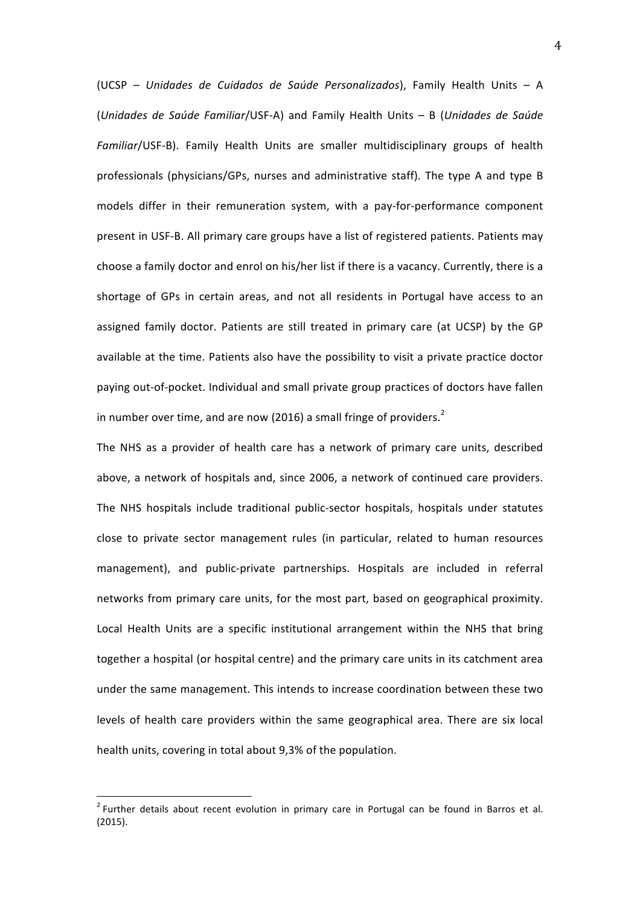(UCSP – *Unidades de Cuidados de Saúde Personalizados*), Family Health Units – A (*Unidades de Saúde Familiar*/USF-A) and Family Health Units – B (*Unidades de Saúde*  Familiar/USF-B). Family Health Units are smaller multidisciplinary groups of health professionals (physicians/GPs, nurses and administrative staff). The type A and type B models differ in their remuneration system, with a pay-for-performance component present in USF-B. All primary care groups have a list of registered patients. Patients may choose a family doctor and enrol on his/her list if there is a vacancy. Currently, there is a shortage of GPs in certain areas, and not all residents in Portugal have access to an assigned family doctor. Patients are still treated in primary care (at UCSP) by the GP available at the time. Patients also have the possibility to visit a private practice doctor paying out-of-pocket. Individual and small private group practices of doctors have fallen in number over time, and are now (2016) a small fringe of providers.<sup>2</sup>

The NHS as a provider of health care has a network of primary care units, described above, a network of hospitals and, since 2006, a network of continued care providers. The NHS hospitals include traditional public-sector hospitals, hospitals under statutes close to private sector management rules (in particular, related to human resources management), and public-private partnerships. Hospitals are included in referral networks from primary care units, for the most part, based on geographical proximity. Local Health Units are a specific institutional arrangement within the NHS that bring together a hospital (or hospital centre) and the primary care units in its catchment area under the same management. This intends to increase coordination between these two levels of health care providers within the same geographical area. There are six local health units, covering in total about 9,3% of the population.

 $2$  Further details about recent evolution in primary care in Portugal can be found in Barros et al. (2015).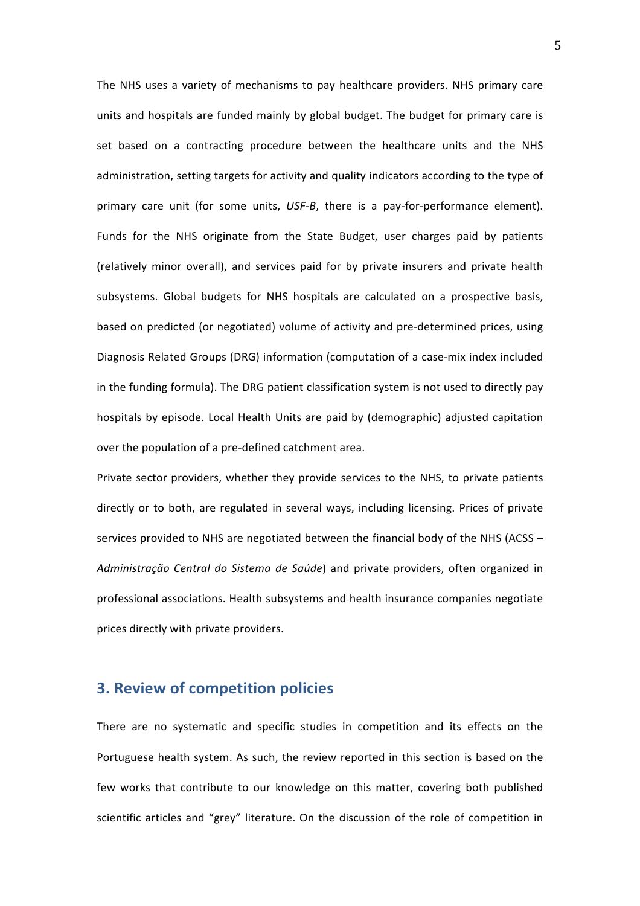The NHS uses a variety of mechanisms to pay healthcare providers. NHS primary care units and hospitals are funded mainly by global budget. The budget for primary care is set based on a contracting procedure between the healthcare units and the NHS administration, setting targets for activity and quality indicators according to the type of primary care unit (for some units, USF-B, there is a pay-for-performance element). Funds for the NHS originate from the State Budget, user charges paid by patients (relatively minor overall), and services paid for by private insurers and private health subsystems. Global budgets for NHS hospitals are calculated on a prospective basis, based on predicted (or negotiated) volume of activity and pre-determined prices, using Diagnosis Related Groups (DRG) information (computation of a case-mix index included in the funding formula). The DRG patient classification system is not used to directly pay hospitals by episode. Local Health Units are paid by (demographic) adjusted capitation over the population of a pre-defined catchment area.

Private sector providers, whether they provide services to the NHS, to private patients directly or to both, are regulated in several ways, including licensing. Prices of private services provided to NHS are negotiated between the financial body of the NHS (ACSS  $-$ Administração Central do Sistema de Saúde) and private providers, often organized in professional associations. Health subsystems and health insurance companies negotiate prices directly with private providers.

## **3. Review of competition policies**

There are no systematic and specific studies in competition and its effects on the Portuguese health system. As such, the review reported in this section is based on the few works that contribute to our knowledge on this matter, covering both published scientific articles and "grey" literature. On the discussion of the role of competition in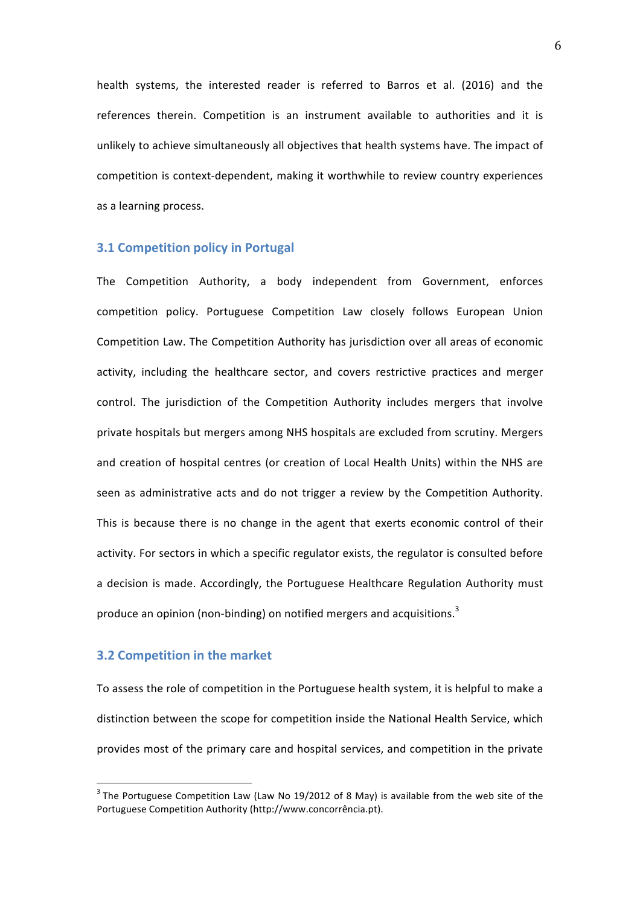health systems, the interested reader is referred to Barros et al. (2016) and the references therein. Competition is an instrument available to authorities and it is unlikely to achieve simultaneously all objectives that health systems have. The impact of competition is context-dependent, making it worthwhile to review country experiences as a learning process.

### **3.1 Competition policy in Portugal**

The Competition Authority, a body independent from Government, enforces competition policy. Portuguese Competition Law closely follows European Union Competition Law. The Competition Authority has iurisdiction over all areas of economic activity, including the healthcare sector, and covers restrictive practices and merger control. The jurisdiction of the Competition Authority includes mergers that involve private hospitals but mergers among NHS hospitals are excluded from scrutiny. Mergers and creation of hospital centres (or creation of Local Health Units) within the NHS are seen as administrative acts and do not trigger a review by the Competition Authority. This is because there is no change in the agent that exerts economic control of their activity. For sectors in which a specific regulator exists, the regulator is consulted before a decision is made. Accordingly, the Portuguese Healthcare Regulation Authority must produce an opinion (non-binding) on notified mergers and acquisitions.<sup>3</sup>

#### **3.2 Competition in the market**

To assess the role of competition in the Portuguese health system, it is helpful to make a distinction between the scope for competition inside the National Health Service, which provides most of the primary care and hospital services, and competition in the private

 $3$  The Portuguese Competition Law (Law No 19/2012 of 8 May) is available from the web site of the Portuguese Competition Authority (http://www.concorrência.pt).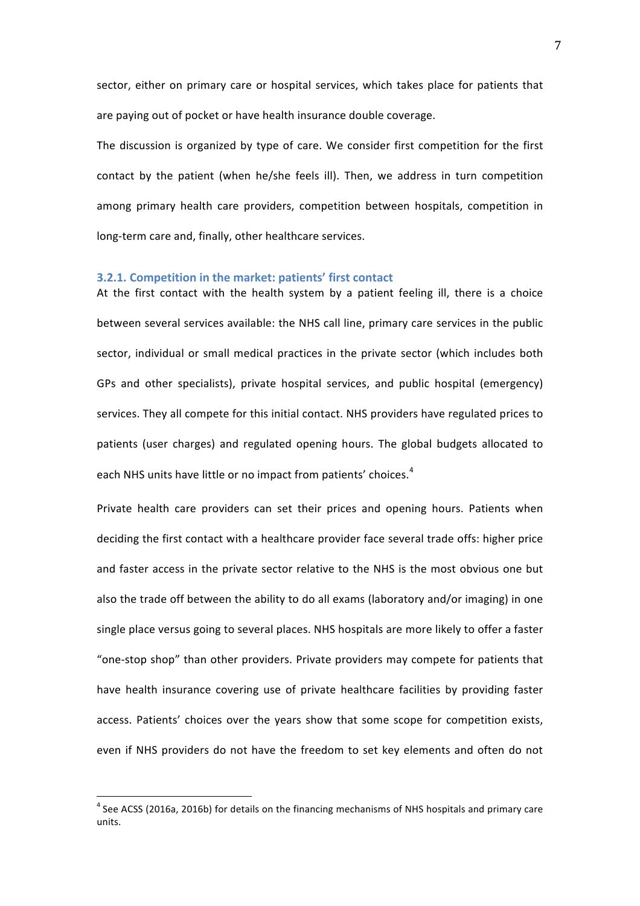sector, either on primary care or hospital services, which takes place for patients that are paying out of pocket or have health insurance double coverage.

The discussion is organized by type of care. We consider first competition for the first contact by the patient (when he/she feels ill). Then, we address in turn competition among primary health care providers, competition between hospitals, competition in long-term care and, finally, other healthcare services.

#### **3.2.1. Competition in the market: patients' first contact**

At the first contact with the health system by a patient feeling ill, there is a choice between several services available: the NHS call line, primary care services in the public sector, individual or small medical practices in the private sector (which includes both GPs and other specialists), private hospital services, and public hospital (emergency) services. They all compete for this initial contact. NHS providers have regulated prices to patients (user charges) and regulated opening hours. The global budgets allocated to each NHS units have little or no impact from patients' choices.<sup>4</sup>

Private health care providers can set their prices and opening hours. Patients when deciding the first contact with a healthcare provider face several trade offs: higher price and faster access in the private sector relative to the NHS is the most obvious one but also the trade off between the ability to do all exams (laboratory and/or imaging) in one single place versus going to several places. NHS hospitals are more likely to offer a faster "one-stop shop" than other providers. Private providers may compete for patients that have health insurance covering use of private healthcare facilities by providing faster access. Patients' choices over the years show that some scope for competition exists, even if NHS providers do not have the freedom to set key elements and often do not

 $^4$  See ACSS (2016a, 2016b) for details on the financing mechanisms of NHS hospitals and primary care units.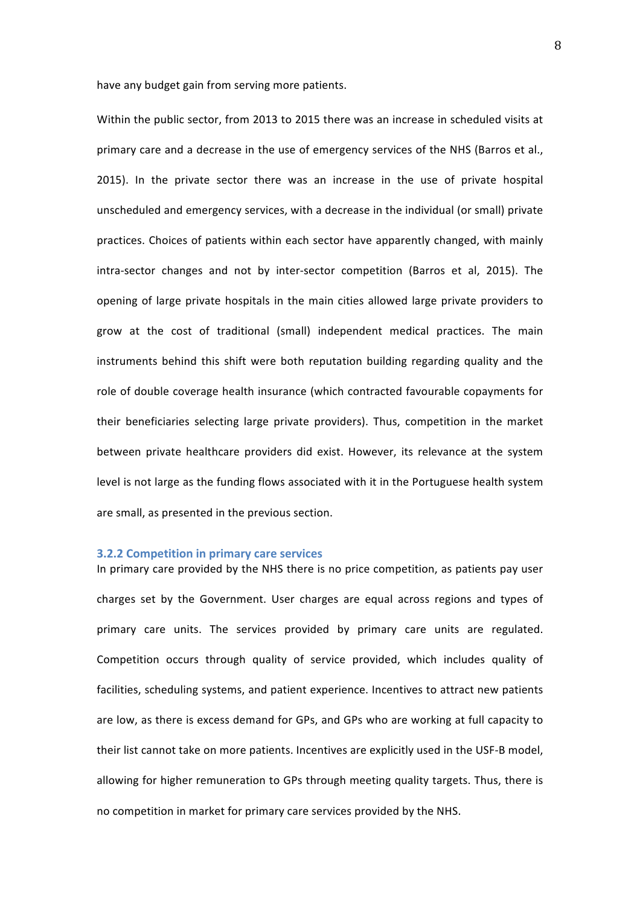have any budget gain from serving more patients.

Within the public sector, from 2013 to 2015 there was an increase in scheduled visits at primary care and a decrease in the use of emergency services of the NHS (Barros et al., 2015). In the private sector there was an increase in the use of private hospital unscheduled and emergency services, with a decrease in the individual (or small) private practices. Choices of patients within each sector have apparently changed, with mainly intra-sector changes and not by inter-sector competition (Barros et al, 2015). The opening of large private hospitals in the main cities allowed large private providers to grow at the cost of traditional (small) independent medical practices. The main instruments behind this shift were both reputation building regarding quality and the role of double coverage health insurance (which contracted favourable copayments for their beneficiaries selecting large private providers). Thus, competition in the market between private healthcare providers did exist. However, its relevance at the system level is not large as the funding flows associated with it in the Portuguese health system are small, as presented in the previous section.

#### **3.2.2 Competition in primary care services**

In primary care provided by the NHS there is no price competition, as patients pay user charges set by the Government. User charges are equal across regions and types of primary care units. The services provided by primary care units are regulated. Competition occurs through quality of service provided, which includes quality of facilities, scheduling systems, and patient experience. Incentives to attract new patients are low, as there is excess demand for GPs, and GPs who are working at full capacity to their list cannot take on more patients. Incentives are explicitly used in the USF-B model, allowing for higher remuneration to GPs through meeting quality targets. Thus, there is no competition in market for primary care services provided by the NHS.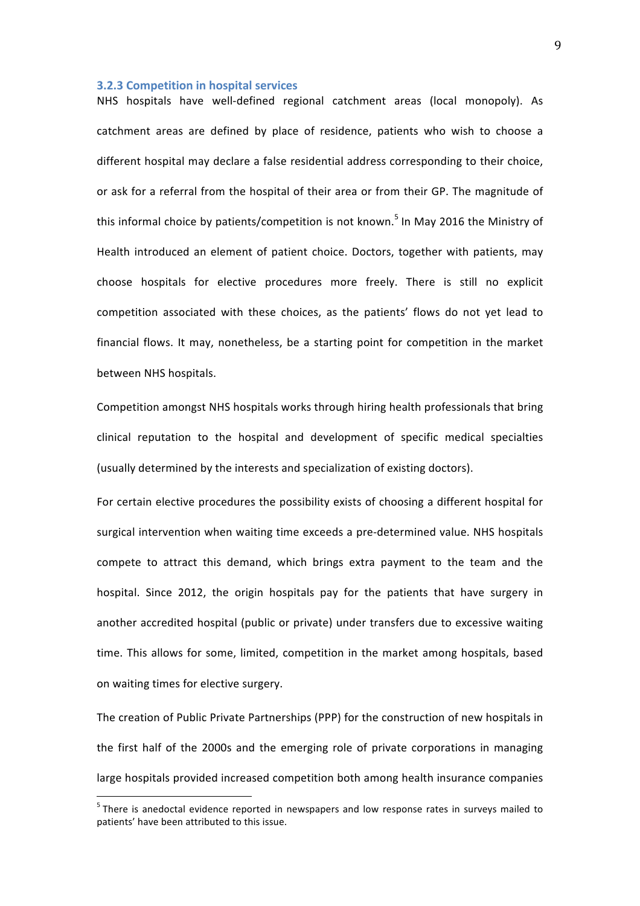#### **3.2.3 Competition in hospital services**

NHS hospitals have well-defined regional catchment areas (local monopoly). As catchment areas are defined by place of residence, patients who wish to choose a different hospital may declare a false residential address corresponding to their choice, or ask for a referral from the hospital of their area or from their GP. The magnitude of this informal choice by patients/competition is not known.<sup>5</sup> In May 2016 the Ministry of Health introduced an element of patient choice. Doctors, together with patients, may choose hospitals for elective procedures more freely. There is still no explicit competition associated with these choices, as the patients' flows do not yet lead to financial flows. It may, nonetheless, be a starting point for competition in the market between NHS hospitals.

Competition amongst NHS hospitals works through hiring health professionals that bring clinical reputation to the hospital and development of specific medical specialties (usually determined by the interests and specialization of existing doctors).

For certain elective procedures the possibility exists of choosing a different hospital for surgical intervention when waiting time exceeds a pre-determined value. NHS hospitals compete to attract this demand, which brings extra payment to the team and the hospital. Since 2012, the origin hospitals pay for the patients that have surgery in another accredited hospital (public or private) under transfers due to excessive waiting time. This allows for some, limited, competition in the market among hospitals, based on waiting times for elective surgery.

The creation of Public Private Partnerships (PPP) for the construction of new hospitals in the first half of the 2000s and the emerging role of private corporations in managing large hospitals provided increased competition both among health insurance companies

 $5$  There is anedoctal evidence reported in newspapers and low response rates in surveys mailed to patients' have been attributed to this issue.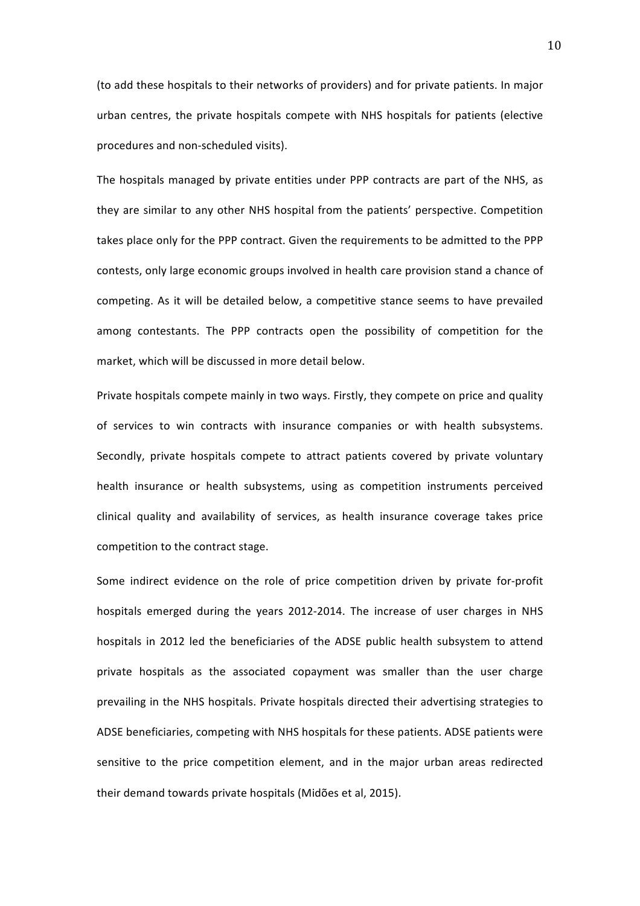(to add these hospitals to their networks of providers) and for private patients. In major urban centres, the private hospitals compete with NHS hospitals for patients (elective procedures and non-scheduled visits).

The hospitals managed by private entities under PPP contracts are part of the NHS, as they are similar to any other NHS hospital from the patients' perspective. Competition takes place only for the PPP contract. Given the requirements to be admitted to the PPP contests, only large economic groups involved in health care provision stand a chance of competing. As it will be detailed below, a competitive stance seems to have prevailed among contestants. The PPP contracts open the possibility of competition for the market, which will be discussed in more detail below.

Private hospitals compete mainly in two ways. Firstly, they compete on price and quality of services to win contracts with insurance companies or with health subsystems. Secondly, private hospitals compete to attract patients covered by private voluntary health insurance or health subsystems, using as competition instruments perceived clinical quality and availability of services, as health insurance coverage takes price competition to the contract stage.

Some indirect evidence on the role of price competition driven by private for-profit hospitals emerged during the years 2012-2014. The increase of user charges in NHS hospitals in 2012 led the beneficiaries of the ADSE public health subsystem to attend private hospitals as the associated copayment was smaller than the user charge prevailing in the NHS hospitals. Private hospitals directed their advertising strategies to ADSE beneficiaries, competing with NHS hospitals for these patients. ADSE patients were sensitive to the price competition element, and in the major urban areas redirected their demand towards private hospitals (Midões et al, 2015).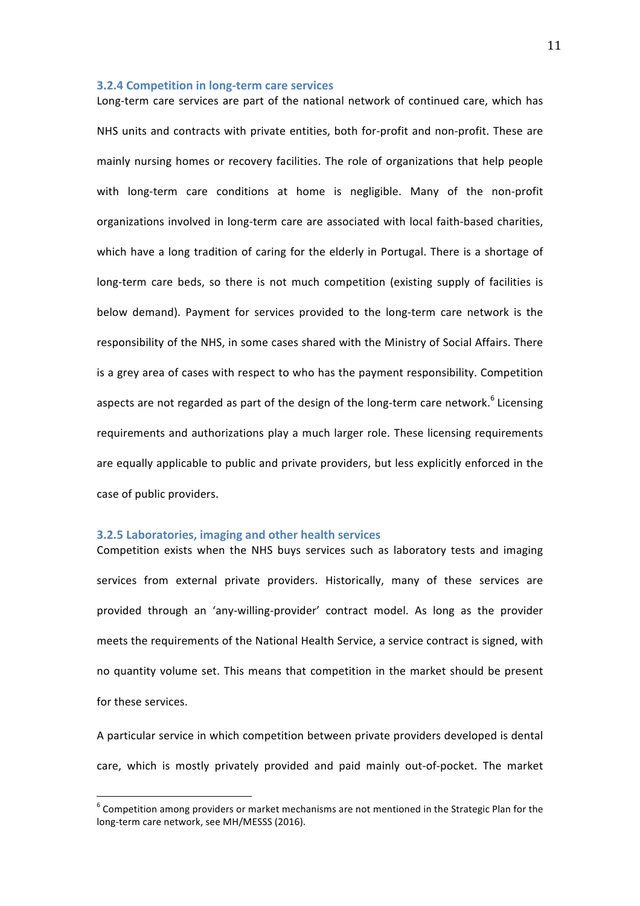#### **3.2.4 Competition in long-term care services**

Long-term care services are part of the national network of continued care, which has NHS units and contracts with private entities, both for-profit and non-profit. These are mainly nursing homes or recovery facilities. The role of organizations that help people with long-term care conditions at home is negligible. Many of the non-profit organizations involved in long-term care are associated with local faith-based charities, which have a long tradition of caring for the elderly in Portugal. There is a shortage of long-term care beds, so there is not much competition (existing supply of facilities is below demand). Payment for services provided to the long-term care network is the responsibility of the NHS, in some cases shared with the Ministry of Social Affairs. There is a grey area of cases with respect to who has the payment responsibility. Competition aspects are not regarded as part of the design of the long-term care network.<sup>6</sup> Licensing requirements and authorizations play a much larger role. These licensing requirements are equally applicable to public and private providers, but less explicitly enforced in the case of public providers.

#### **3.2.5 Laboratories, imaging and other health services**

Competition exists when the NHS buys services such as laboratory tests and imaging services from external private providers. Historically, many of these services are provided through an 'any-willing-provider' contract model. As long as the provider meets the requirements of the National Health Service, a service contract is signed, with no quantity volume set. This means that competition in the market should be present for these services.

A particular service in which competition between private providers developed is dental care, which is mostly privately provided and paid mainly out-of-pocket. The market

 $6$  Competition among providers or market mechanisms are not mentioned in the Strategic Plan for the long-term care network, see MH/MESSS (2016).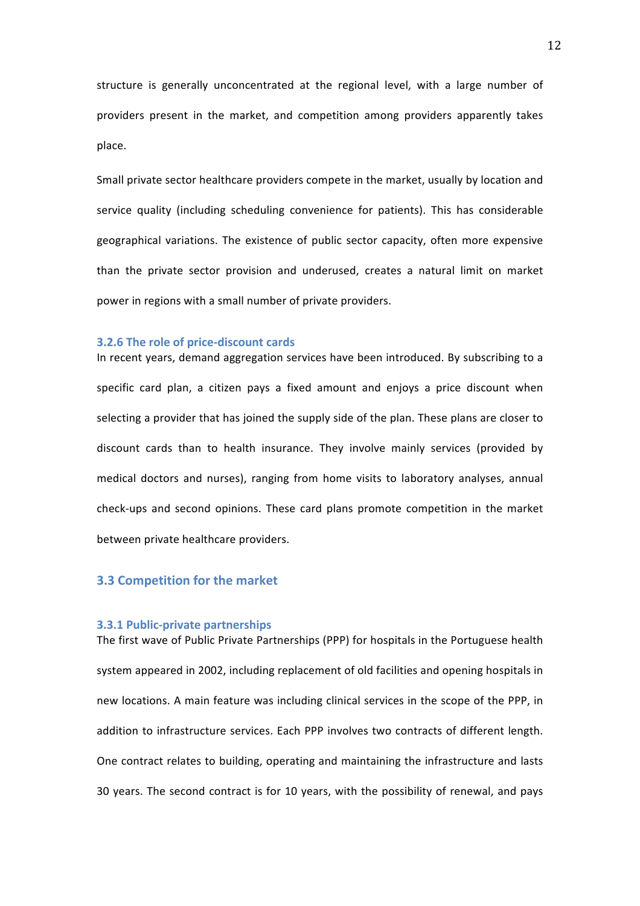structure is generally unconcentrated at the regional level, with a large number of providers present in the market, and competition among providers apparently takes place.

Small private sector healthcare providers compete in the market, usually by location and service quality (including scheduling convenience for patients). This has considerable geographical variations. The existence of public sector capacity, often more expensive than the private sector provision and underused, creates a natural limit on market power in regions with a small number of private providers.

#### **3.2.6** The role of price-discount cards

In recent years, demand aggregation services have been introduced. By subscribing to a specific card plan, a citizen pays a fixed amount and enjoys a price discount when selecting a provider that has joined the supply side of the plan. These plans are closer to discount cards than to health insurance. They involve mainly services (provided by medical doctors and nurses), ranging from home visits to laboratory analyses, annual check-ups and second opinions. These card plans promote competition in the market between private healthcare providers.

## **3.3 Competition for the market**

#### **3.3.1 Public-private partnerships**

The first wave of Public Private Partnerships (PPP) for hospitals in the Portuguese health system appeared in 2002, including replacement of old facilities and opening hospitals in new locations. A main feature was including clinical services in the scope of the PPP, in addition to infrastructure services. Each PPP involves two contracts of different length. One contract relates to building, operating and maintaining the infrastructure and lasts 30 years. The second contract is for 10 years, with the possibility of renewal, and pays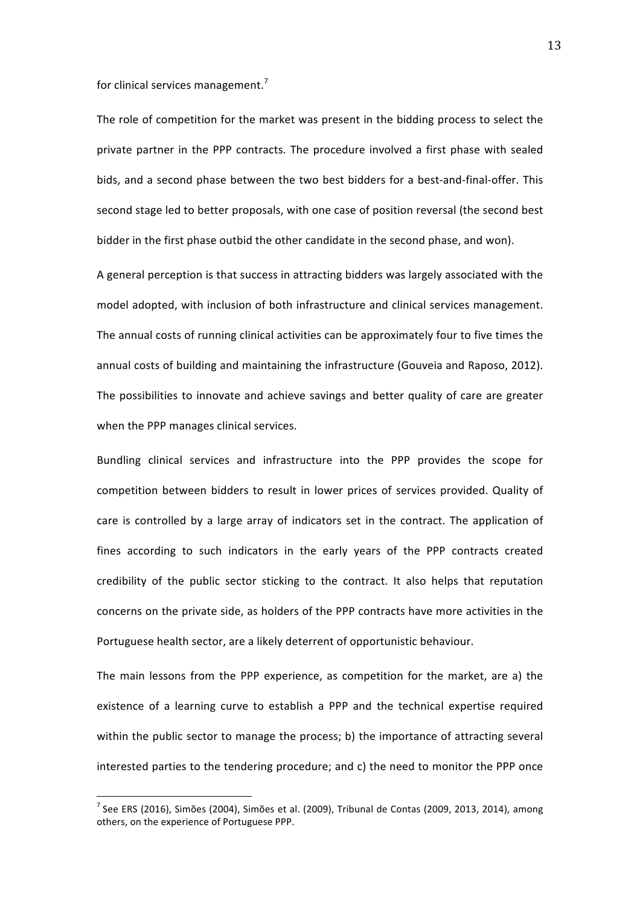for clinical services management.<sup>7</sup>

The role of competition for the market was present in the bidding process to select the private partner in the PPP contracts. The procedure involved a first phase with sealed bids, and a second phase between the two best bidders for a best-and-final-offer. This second stage led to better proposals, with one case of position reversal (the second best bidder in the first phase outbid the other candidate in the second phase, and won).

A general perception is that success in attracting bidders was largely associated with the model adopted, with inclusion of both infrastructure and clinical services management. The annual costs of running clinical activities can be approximately four to five times the annual costs of building and maintaining the infrastructure (Gouveia and Raposo, 2012). The possibilities to innovate and achieve savings and better quality of care are greater when the PPP manages clinical services.

Bundling clinical services and infrastructure into the PPP provides the scope for competition between bidders to result in lower prices of services provided. Quality of care is controlled by a large array of indicators set in the contract. The application of fines according to such indicators in the early years of the PPP contracts created credibility of the public sector sticking to the contract. It also helps that reputation concerns on the private side, as holders of the PPP contracts have more activities in the Portuguese health sector, are a likely deterrent of opportunistic behaviour.

The main lessons from the PPP experience, as competition for the market, are a) the existence of a learning curve to establish a PPP and the technical expertise required within the public sector to manage the process; b) the importance of attracting several interested parties to the tendering procedure; and c) the need to monitor the PPP once

 $^7$  See ERS (2016), Simões (2004), Simões et al. (2009), Tribunal de Contas (2009, 2013, 2014), among others, on the experience of Portuguese PPP.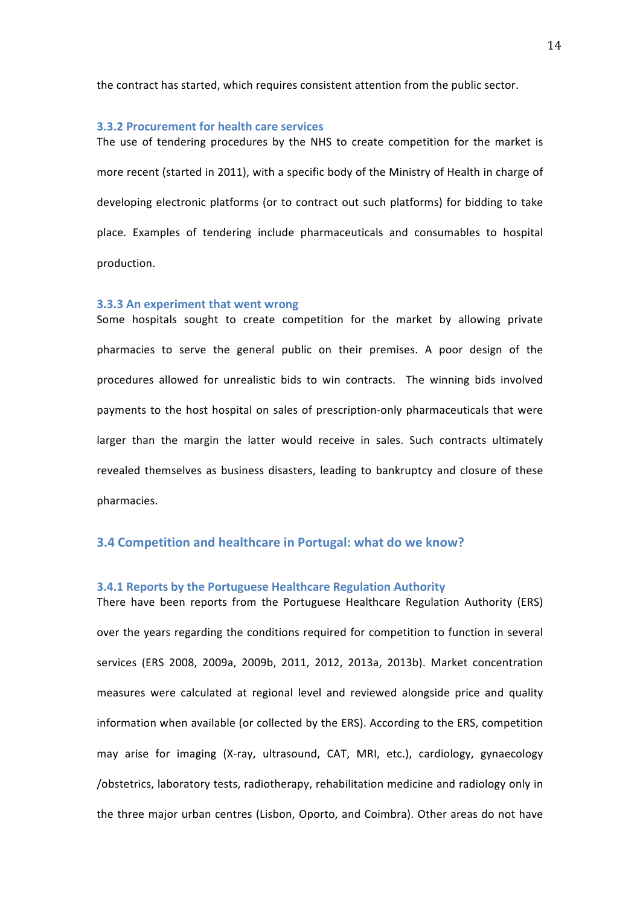the contract has started, which requires consistent attention from the public sector.

#### **3.3.2 Procurement for health care services**

The use of tendering procedures by the NHS to create competition for the market is more recent (started in 2011), with a specific body of the Ministry of Health in charge of developing electronic platforms (or to contract out such platforms) for bidding to take place. Examples of tendering include pharmaceuticals and consumables to hospital production. 

#### **3.3.3** An experiment that went wrong

Some hospitals sought to create competition for the market by allowing private pharmacies to serve the general public on their premises. A poor design of the procedures allowed for unrealistic bids to win contracts. The winning bids involved payments to the host hospital on sales of prescription-only pharmaceuticals that were larger than the margin the latter would receive in sales. Such contracts ultimately revealed themselves as business disasters, leading to bankruptcy and closure of these pharmacies.

#### **3.4 Competition and healthcare in Portugal: what do we know?**

#### **3.4.1 Reports by the Portuguese Healthcare Regulation Authority**

There have been reports from the Portuguese Healthcare Regulation Authority (ERS) over the years regarding the conditions required for competition to function in several services (ERS 2008, 2009a, 2009b, 2011, 2012, 2013a, 2013b). Market concentration measures were calculated at regional level and reviewed alongside price and quality information when available (or collected by the ERS). According to the ERS, competition may arise for imaging (X-ray, ultrasound, CAT, MRI, etc.), cardiology, gynaecology /obstetrics, laboratory tests, radiotherapy, rehabilitation medicine and radiology only in the three major urban centres (Lisbon, Oporto, and Coimbra). Other areas do not have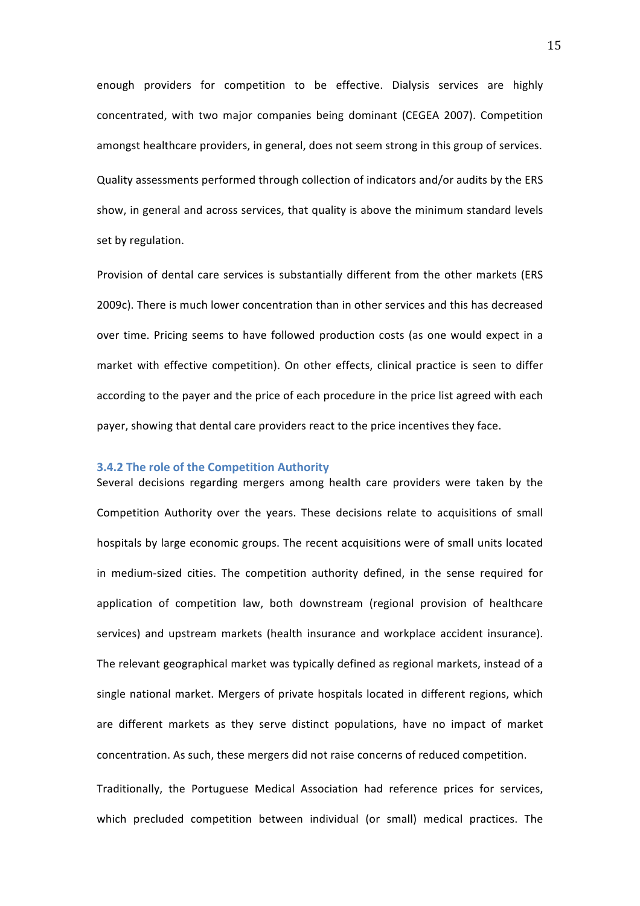enough providers for competition to be effective. Dialysis services are highly concentrated, with two major companies being dominant (CEGEA 2007). Competition amongst healthcare providers, in general, does not seem strong in this group of services. Quality assessments performed through collection of indicators and/or audits by the ERS show, in general and across services, that quality is above the minimum standard levels set by regulation.

Provision of dental care services is substantially different from the other markets (ERS 2009c). There is much lower concentration than in other services and this has decreased over time. Pricing seems to have followed production costs (as one would expect in a market with effective competition). On other effects, clinical practice is seen to differ according to the payer and the price of each procedure in the price list agreed with each payer, showing that dental care providers react to the price incentives they face.

#### **3.4.2** The role of the Competition Authority

Several decisions regarding mergers among health care providers were taken by the Competition Authority over the years. These decisions relate to acquisitions of small hospitals by large economic groups. The recent acquisitions were of small units located in medium-sized cities. The competition authority defined, in the sense required for application of competition law, both downstream (regional provision of healthcare services) and upstream markets (health insurance and workplace accident insurance). The relevant geographical market was typically defined as regional markets, instead of a single national market. Mergers of private hospitals located in different regions, which are different markets as they serve distinct populations, have no impact of market concentration. As such, these mergers did not raise concerns of reduced competition.

Traditionally, the Portuguese Medical Association had reference prices for services, which precluded competition between individual (or small) medical practices. The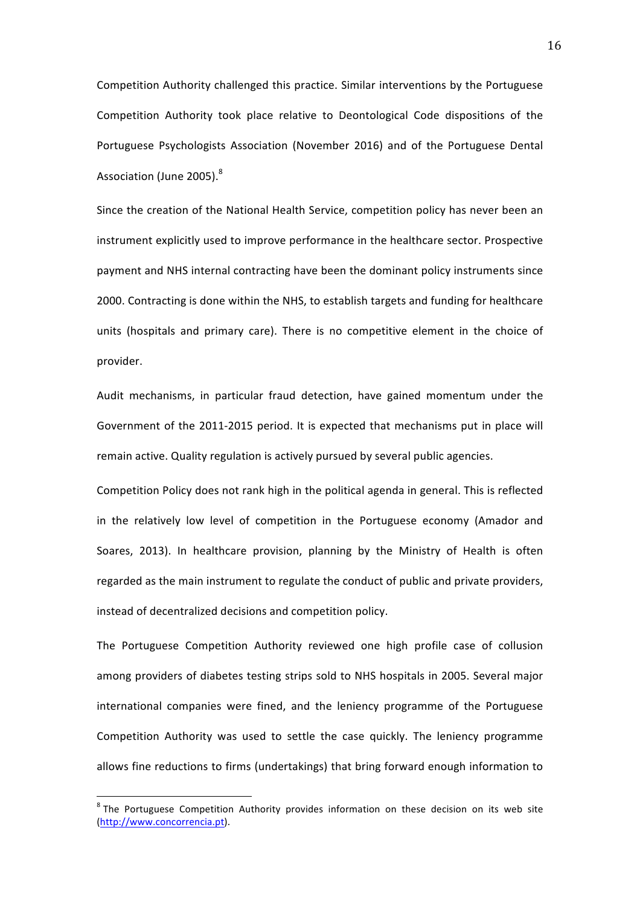Competition Authority challenged this practice. Similar interventions by the Portuguese Competition Authority took place relative to Deontological Code dispositions of the Portuguese Psychologists Association (November 2016) and of the Portuguese Dental Association (June 2005).<sup>8</sup>

Since the creation of the National Health Service, competition policy has never been an instrument explicitly used to improve performance in the healthcare sector. Prospective payment and NHS internal contracting have been the dominant policy instruments since 2000. Contracting is done within the NHS, to establish targets and funding for healthcare units (hospitals and primary care). There is no competitive element in the choice of provider. 

Audit mechanisms, in particular fraud detection, have gained momentum under the Government of the 2011-2015 period. It is expected that mechanisms put in place will remain active. Quality regulation is actively pursued by several public agencies.

Competition Policy does not rank high in the political agenda in general. This is reflected in the relatively low level of competition in the Portuguese economy (Amador and Soares, 2013). In healthcare provision, planning by the Ministry of Health is often regarded as the main instrument to regulate the conduct of public and private providers, instead of decentralized decisions and competition policy.

The Portuguese Competition Authority reviewed one high profile case of collusion among providers of diabetes testing strips sold to NHS hospitals in 2005. Several major international companies were fined, and the leniency programme of the Portuguese Competition Authority was used to settle the case quickly. The leniency programme allows fine reductions to firms (undertakings) that bring forward enough information to

 $8$  The Portuguese Competition Authority provides information on these decision on its web site (http://www.concorrencia.pt).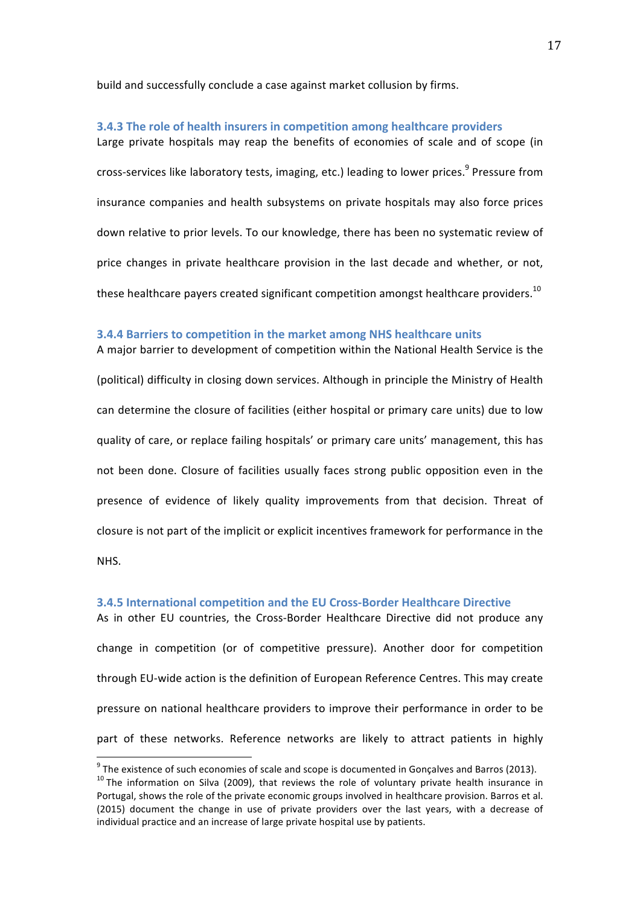build and successfully conclude a case against market collusion by firms.

#### **3.4.3** The role of health insurers in competition among healthcare providers

Large private hospitals may reap the benefits of economies of scale and of scope (in cross-services like laboratory tests, imaging, etc.) leading to lower prices.<sup>9</sup> Pressure from insurance companies and health subsystems on private hospitals may also force prices down relative to prior levels. To our knowledge, there has been no systematic review of price changes in private healthcare provision in the last decade and whether, or not, these healthcare payers created significant competition amongst healthcare providers.<sup>10</sup>

#### **3.4.4 Barriers to competition in the market among NHS healthcare units**

A major barrier to development of competition within the National Health Service is the (political) difficulty in closing down services. Although in principle the Ministry of Health can determine the closure of facilities (either hospital or primary care units) due to low quality of care, or replace failing hospitals' or primary care units' management, this has not been done. Closure of facilities usually faces strong public opposition even in the presence of evidence of likely quality improvements from that decision. Threat of closure is not part of the implicit or explicit incentives framework for performance in the

NHS.

#### **3.4.5 International competition and the EU Cross-Border Healthcare Directive**

As in other EU countries, the Cross-Border Healthcare Directive did not produce any change in competition (or of competitive pressure). Another door for competition through EU-wide action is the definition of European Reference Centres. This may create pressure on national healthcare providers to improve their performance in order to be part of these networks. Reference networks are likely to attract patients in highly

<sup>&</sup>lt;sup>9</sup> The existence of such economies of scale and scope is documented in Gonçalves and Barros (2013). <sup>10</sup> The information on Silva (2009), that reviews the role of voluntary private health insurance in Portugal, shows the role of the private economic groups involved in healthcare provision. Barros et al. (2015) document the change in use of private providers over the last years, with a decrease of individual practice and an increase of large private hospital use by patients.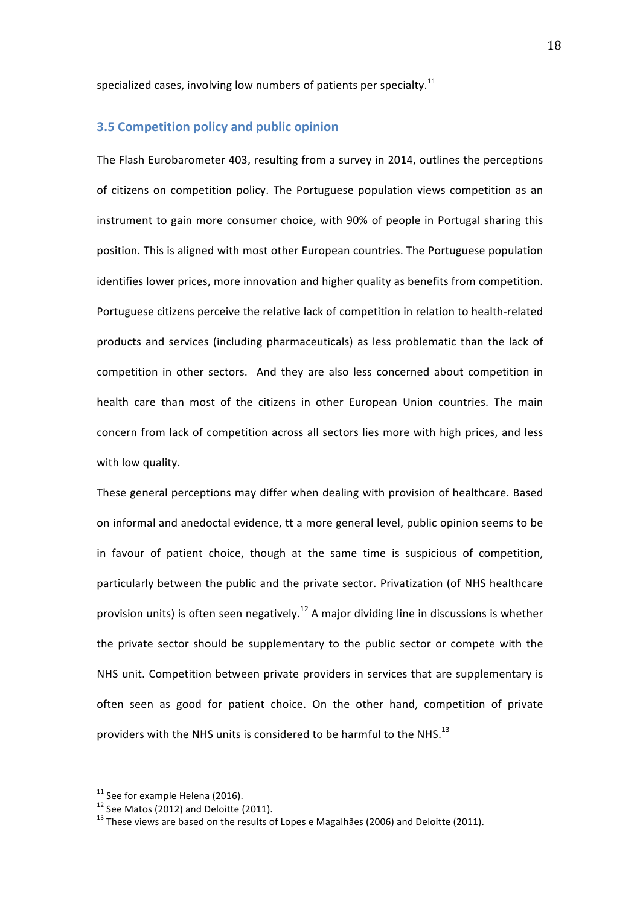specialized cases, involving low numbers of patients per specialty.<sup>11</sup>

## **3.5 Competition policy and public opinion**

The Flash Eurobarometer 403, resulting from a survey in 2014, outlines the perceptions of citizens on competition policy. The Portuguese population views competition as an instrument to gain more consumer choice, with 90% of people in Portugal sharing this position. This is aligned with most other European countries. The Portuguese population identifies lower prices, more innovation and higher quality as benefits from competition. Portuguese citizens perceive the relative lack of competition in relation to health-related products and services (including pharmaceuticals) as less problematic than the lack of competition in other sectors. And they are also less concerned about competition in health care than most of the citizens in other European Union countries. The main concern from lack of competition across all sectors lies more with high prices, and less with low quality.

These general perceptions may differ when dealing with provision of healthcare. Based on informal and anedoctal evidence, tt a more general level, public opinion seems to be in favour of patient choice, though at the same time is suspicious of competition, particularly between the public and the private sector. Privatization (of NHS healthcare provision units) is often seen negatively.<sup>12</sup> A major dividing line in discussions is whether the private sector should be supplementary to the public sector or compete with the NHS unit. Competition between private providers in services that are supplementary is often seen as good for patient choice. On the other hand, competition of private providers with the NHS units is considered to be harmful to the NHS.<sup>13</sup>

<sup>&</sup>lt;sup>11</sup> See for example Helena (2016).<br><sup>12</sup> See Matos (2012) and Deloitte (2011).<br><sup>13</sup> These views are based on the results of Lopes e Magalhães (2006) and Deloitte (2011).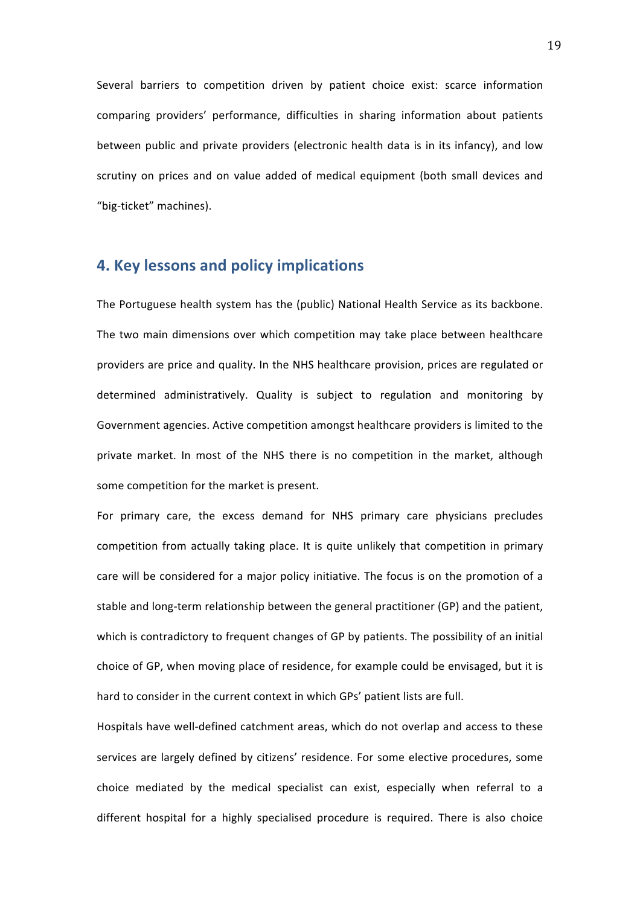Several barriers to competition driven by patient choice exist: scarce information comparing providers' performance, difficulties in sharing information about patients between public and private providers (electronic health data is in its infancy), and low scrutiny on prices and on value added of medical equipment (both small devices and "big-ticket" machines).

# **4. Key lessons and policy implications**

The Portuguese health system has the (public) National Health Service as its backbone. The two main dimensions over which competition may take place between healthcare providers are price and quality. In the NHS healthcare provision, prices are regulated or determined administratively. Quality is subject to regulation and monitoring by Government agencies. Active competition amongst healthcare providers is limited to the private market. In most of the NHS there is no competition in the market, although some competition for the market is present.

For primary care, the excess demand for NHS primary care physicians precludes competition from actually taking place. It is quite unlikely that competition in primary care will be considered for a major policy initiative. The focus is on the promotion of a stable and long-term relationship between the general practitioner (GP) and the patient, which is contradictory to frequent changes of GP by patients. The possibility of an initial choice of GP, when moving place of residence, for example could be envisaged, but it is hard to consider in the current context in which GPs' patient lists are full.

Hospitals have well-defined catchment areas, which do not overlap and access to these services are largely defined by citizens' residence. For some elective procedures, some choice mediated by the medical specialist can exist, especially when referral to a different hospital for a highly specialised procedure is required. There is also choice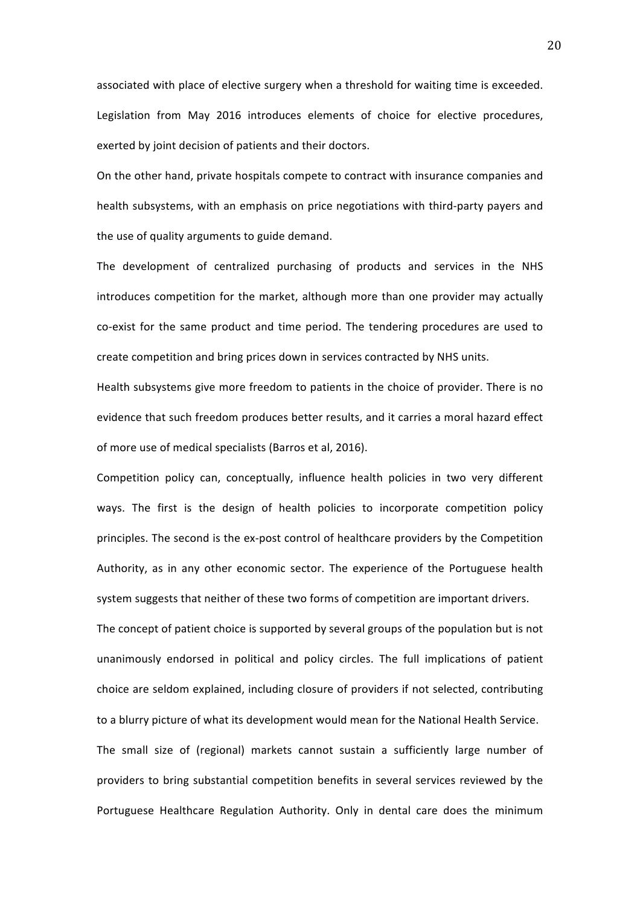associated with place of elective surgery when a threshold for waiting time is exceeded. Legislation from May 2016 introduces elements of choice for elective procedures, exerted by joint decision of patients and their doctors.

On the other hand, private hospitals compete to contract with insurance companies and health subsystems, with an emphasis on price negotiations with third-party payers and the use of quality arguments to guide demand.

The development of centralized purchasing of products and services in the NHS introduces competition for the market, although more than one provider may actually co-exist for the same product and time period. The tendering procedures are used to create competition and bring prices down in services contracted by NHS units.

Health subsystems give more freedom to patients in the choice of provider. There is no evidence that such freedom produces better results, and it carries a moral hazard effect of more use of medical specialists (Barros et al, 2016).

Competition policy can, conceptually, influence health policies in two very different ways. The first is the design of health policies to incorporate competition policy principles. The second is the ex-post control of healthcare providers by the Competition Authority, as in any other economic sector. The experience of the Portuguese health system suggests that neither of these two forms of competition are important drivers.

The concept of patient choice is supported by several groups of the population but is not unanimously endorsed in political and policy circles. The full implications of patient choice are seldom explained, including closure of providers if not selected, contributing to a blurry picture of what its development would mean for the National Health Service. The small size of (regional) markets cannot sustain a sufficiently large number of providers to bring substantial competition benefits in several services reviewed by the Portuguese Healthcare Regulation Authority. Only in dental care does the minimum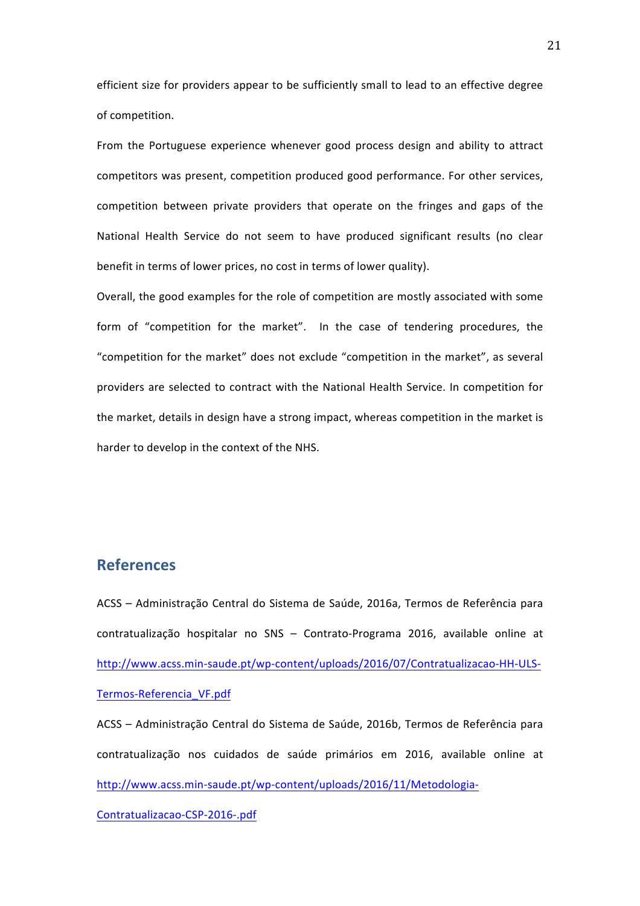efficient size for providers appear to be sufficiently small to lead to an effective degree of competition.

From the Portuguese experience whenever good process design and ability to attract competitors was present, competition produced good performance. For other services, competition between private providers that operate on the fringes and gaps of the National Health Service do not seem to have produced significant results (no clear benefit in terms of lower prices, no cost in terms of lower quality).

Overall, the good examples for the role of competition are mostly associated with some form of "competition for the market". In the case of tendering procedures, the "competition for the market" does not exclude "competition in the market", as several providers are selected to contract with the National Health Service. In competition for the market, details in design have a strong impact, whereas competition in the market is harder to develop in the context of the NHS.

# **References**

ACSS – Administração Central do Sistema de Saúde, 2016a, Termos de Referência para contratualização hospitalar no SNS - Contrato-Programa 2016, available online at http://www.acss.min-saude.pt/wp-content/uploads/2016/07/Contratualizacao-HH-ULS-Termos-Referencia\_VF.pdf

ACSS – Administração Central do Sistema de Saúde, 2016b, Termos de Referência para contratualização nos cuidados de saúde primários em 2016, available online at http://www.acss.min-saude.pt/wp-content/uploads/2016/11/Metodologia-

Contratualizacao-CSP-2016-.pdf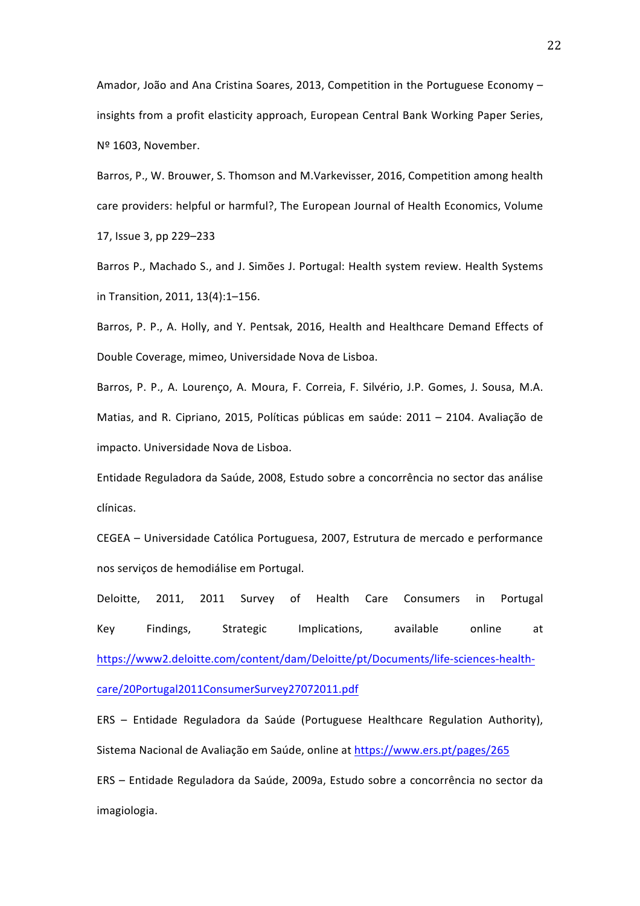Amador, João and Ana Cristina Soares, 2013, Competition in the Portuguese Economy insights from a profit elasticity approach, European Central Bank Working Paper Series, Nº 1603, November.

Barros, P., W. Brouwer, S. Thomson and M.Varkevisser, 2016, Competition among health care providers: helpful or harmful?, The European Journal of Health Economics, Volume 17, Issue 3, pp 229-233

Barros P., Machado S., and J. Simões J. Portugal: Health system review. Health Systems in Transition, 2011, 13(4):1-156.

Barros, P. P., A. Holly, and Y. Pentsak, 2016, Health and Healthcare Demand Effects of Double Coverage, mimeo, Universidade Nova de Lisboa.

Barros, P. P., A. Lourenço, A. Moura, F. Correia, F. Silvério, J.P. Gomes, J. Sousa, M.A. Matias, and R. Cipriano, 2015, Políticas públicas em saúde: 2011 – 2104. Avaliação de impacto. Universidade Nova de Lisboa.

Entidade Reguladora da Saúde, 2008, Estudo sobre a concorrência no sector das análise clínicas.

CEGEA – Universidade Católica Portuguesa, 2007, Estrutura de mercado e performance nos serviços de hemodiálise em Portugal.

Deloitte, 2011, 2011 Survey of Health Care Consumers in Portugal Key Findings, Strategic Implications, available online at https://www2.deloitte.com/content/dam/Deloitte/pt/Documents/life-sciences-healthcare/20Portugal2011ConsumerSurvey27072011.pdf

ERS – Entidade Reguladora da Saúde (Portuguese Healthcare Regulation Authority), Sistema Nacional de Avaliação em Saúde, online at https://www.ers.pt/pages/265

ERS – Entidade Reguladora da Saúde, 2009a, Estudo sobre a concorrência no sector da imagiologia.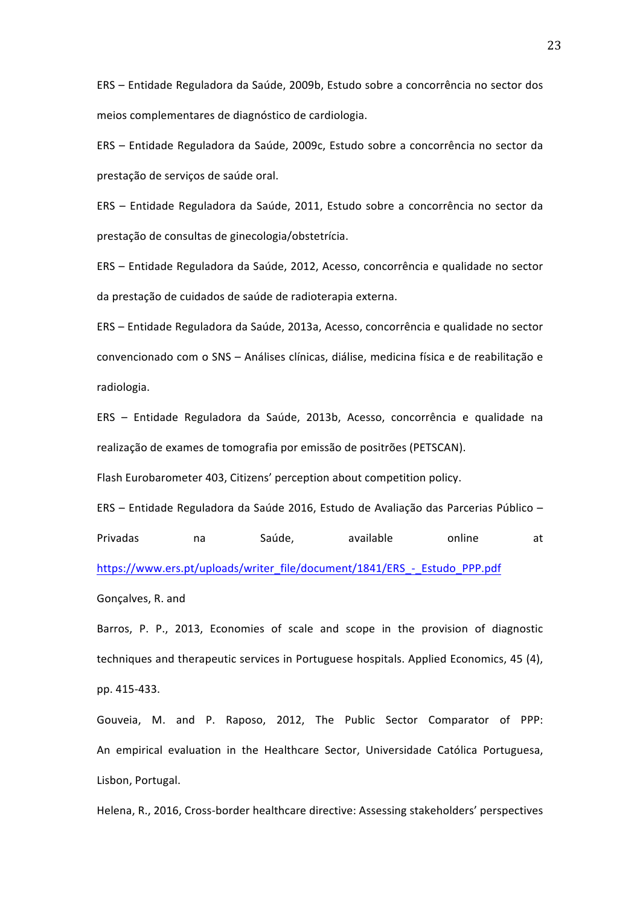ERS – Entidade Reguladora da Saúde, 2009b, Estudo sobre a concorrência no sector dos meios complementares de diagnóstico de cardiologia.

ERS – Entidade Reguladora da Saúde, 2009c, Estudo sobre a concorrência no sector da prestação de serviços de saúde oral.

ERS – Entidade Reguladora da Saúde, 2011, Estudo sobre a concorrência no sector da prestação de consultas de ginecologia/obstetrícia.

ERS – Entidade Reguladora da Saúde, 2012, Acesso, concorrência e qualidade no sector da prestação de cuidados de saúde de radioterapia externa.

ERS – Entidade Reguladora da Saúde, 2013a, Acesso, concorrência e qualidade no sector convencionado com o SNS – Análises clínicas, diálise, medicina física e de reabilitação e radiologia.

ERS - Entidade Reguladora da Saúde, 2013b, Acesso, concorrência e qualidade na realização de exames de tomografia por emissão de positrões (PETSCAN).

Flash Eurobarometer 403, Citizens' perception about competition policy.

ERS – Entidade Reguladora da Saúde 2016, Estudo de Avaliação das Parcerias Público – Privadas ma Saúde, available online at https://www.ers.pt/uploads/writer\_file/document/1841/ERS\_-\_Estudo\_PPP.pdf

Gonçalves, R. and

Barros, P. P., 2013, Economies of scale and scope in the provision of diagnostic techniques and therapeutic services in Portuguese hospitals. Applied Economics, 45 (4), pp. 415-433. 

Gouveia, M. and P. Raposo, 2012, The Public Sector Comparator of PPP: An empirical evaluation in the Healthcare Sector, Universidade Católica Portuguesa, Lisbon, Portugal.

Helena, R., 2016, Cross-border healthcare directive: Assessing stakeholders' perspectives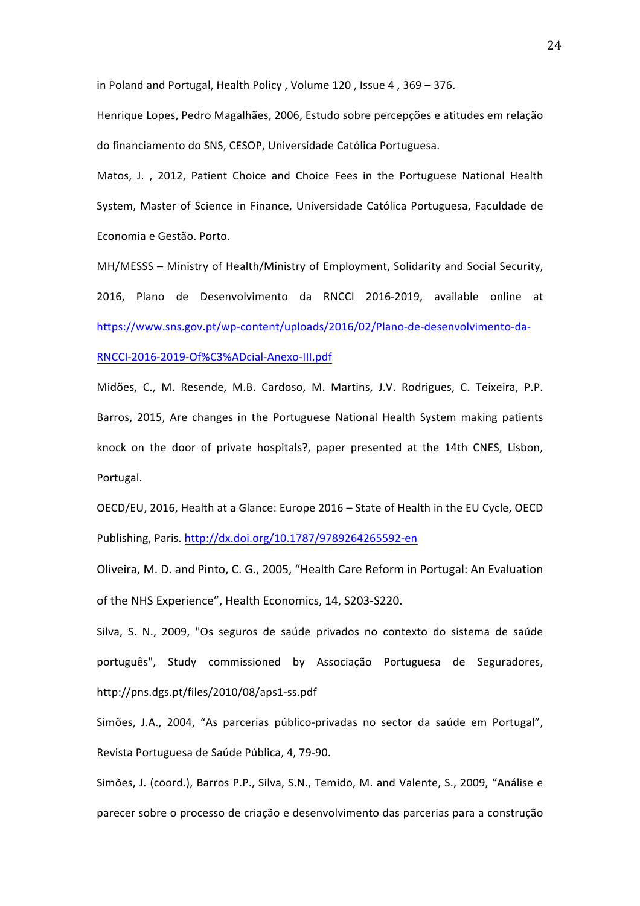in Poland and Portugal, Health Policy, Volume  $120$ , Issue 4,  $369 - 376$ .

Henrique Lopes, Pedro Magalhães, 2006, Estudo sobre percepções e atitudes em relação do financiamento do SNS, CESOP, Universidade Católica Portuguesa.

Matos, J., 2012, Patient Choice and Choice Fees in the Portuguese National Health System, Master of Science in Finance, Universidade Católica Portuguesa, Faculdade de Economia e Gestão. Porto.

MH/MESSS - Ministry of Health/Ministry of Employment, Solidarity and Social Security, 2016, Plano de Desenvolvimento da RNCCI 2016-2019, available online at https://www.sns.gov.pt/wp-content/uploads/2016/02/Plano-de-desenvolvimento-da-

RNCCI-2016-2019-Of%C3%ADcial-Anexo-III.pdf

Midões, C., M. Resende, M.B. Cardoso, M. Martins, J.V. Rodrigues, C. Teixeira, P.P. Barros, 2015, Are changes in the Portuguese National Health System making patients knock on the door of private hospitals?, paper presented at the 14th CNES, Lisbon, Portugal.

OECD/EU, 2016, Health at a Glance: Europe 2016 - State of Health in the EU Cycle, OECD Publishing, Paris. http://dx.doi.org/10.1787/9789264265592-en

Oliveira, M. D. and Pinto, C. G., 2005, "Health Care Reform in Portugal: An Evaluation of the NHS Experience", Health Economics, 14, S203-S220.

Silva, S. N., 2009, "Os seguros de saúde privados no contexto do sistema de saúde português", Study commissioned by Associação Portuguesa de Seguradores, http://pns.dgs.pt/files/2010/08/aps1-ss.pdf 

Simões, J.A., 2004, "As parcerias público-privadas no sector da saúde em Portugal", Revista Portuguesa de Saúde Pública, 4, 79-90.

Simões, J. (coord.), Barros P.P., Silva, S.N., Temido, M. and Valente, S., 2009, "Análise e parecer sobre o processo de criação e desenvolvimento das parcerias para a construção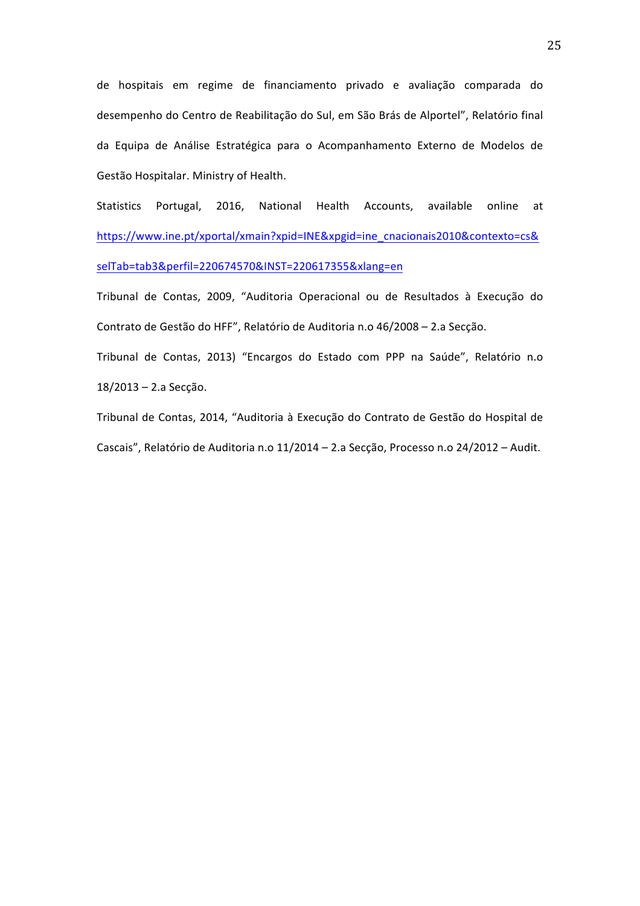de hospitais em regime de financiamento privado e avaliação comparada do desempenho do Centro de Reabilitação do Sul, em São Brás de Alportel", Relatório final da Equipa de Análise Estratégica para o Acompanhamento Externo de Modelos de Gestão Hospitalar. Ministry of Health.

Statistics Portugal, 2016, National Health Accounts, available online at https://www.ine.pt/xportal/xmain?xpid=INE&xpgid=ine\_cnacionais2010&contexto=cs& selTab=tab3&perfil=220674570&INST=220617355&xlang=en

Tribunal de Contas, 2009, "Auditoria Operacional ou de Resultados à Execução do Contrato de Gestão do HFF", Relatório de Auditoria n.o 46/2008 – 2.a Secção.

Tribunal de Contas, 2013) "Encargos do Estado com PPP na Saúde", Relatório n.o 18/2013 - 2.a Secção.

Tribunal de Contas, 2014, "Auditoria à Execução do Contrato de Gestão do Hospital de Cascais", Relatório de Auditoria n.o 11/2014 – 2.a Secção, Processo n.o 24/2012 – Audit.